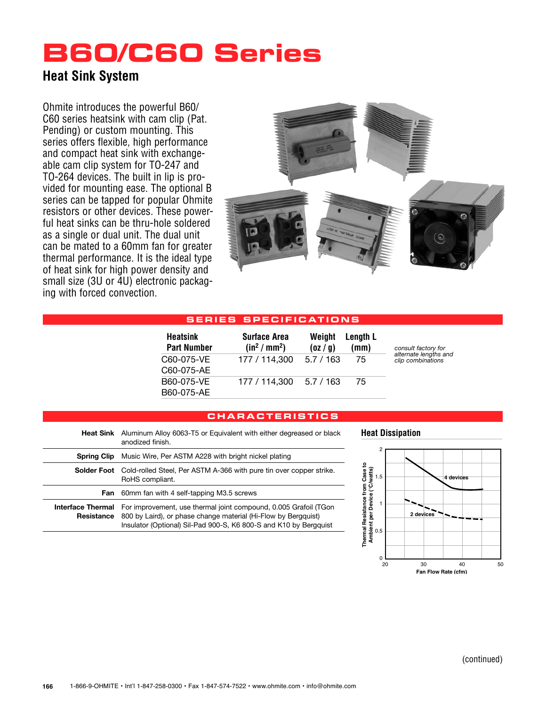## **B60/C60 Series**

### **Heat Sink System**

Ohmite introduces the powerful B60/ C60 series heatsink with cam clip (Pat. Pending) or custom mounting. This series offers flexible, high performance and compact heat sink with exchangeable cam clip system for TO-247 and TO-264 devices. The built in lip is provided for mounting ease. The optional B series can be tapped for popular Ohmite resistors or other devices. These powerful heat sinks can be thru-hole soldered as a single or dual unit. The dual unit can be mated to a 60mm fan for greater thermal performance. It is the ideal type of heat sink for high power density and small size (3U or 4U) electronic packaging with forced convection.



#### **S ERIE S SP E C I F I C ATI ONS**

| <b>Heatsink</b><br><b>Part Number</b> | <b>Surface Area</b><br>(in <sup>2</sup> /mm <sup>2</sup> ) | Weight<br>(oz / g) | Length L<br>(mm) | consult factory for<br>alternate lengths and<br>clip combinations |
|---------------------------------------|------------------------------------------------------------|--------------------|------------------|-------------------------------------------------------------------|
| C60-075-VE<br>C60-075-AE              | 177 / 114,300                                              | 5.7/163            | 75               |                                                                   |
| B60-075-VE<br>B60-075-AE              | 177 / 114,300                                              | 5.7 / 163          | 75               |                                                                   |

#### **c hara c teri s t i cs**

| Heat Sink                              | Aluminum Alloy 6063-T5 or Equivalent with either degreased or black<br>anodized finish.                                                                                                                 |  |
|----------------------------------------|---------------------------------------------------------------------------------------------------------------------------------------------------------------------------------------------------------|--|
| <b>Spring Clip</b>                     | Music Wire, Per ASTM A228 with bright nickel plating                                                                                                                                                    |  |
| <b>Solder Foot</b>                     | Cold-rolled Steel, Per ASTM A-366 with pure tin over copper strike.<br>RoHS compliant.                                                                                                                  |  |
| Fan                                    | 60mm fan with 4 self-tapping M3.5 screws                                                                                                                                                                |  |
| <b>Interface Thermal</b><br>Resistance | For improvement, use thermal joint compound, 0.005 Grafoil (TGon<br>800 by Laird), or phase change material (Hi-Flow by Bergguist)<br>Insulator (Optional) Sil-Pad 900-S, K6 800-S and K10 by Bergguist |  |

#### **Heat Dissipation**